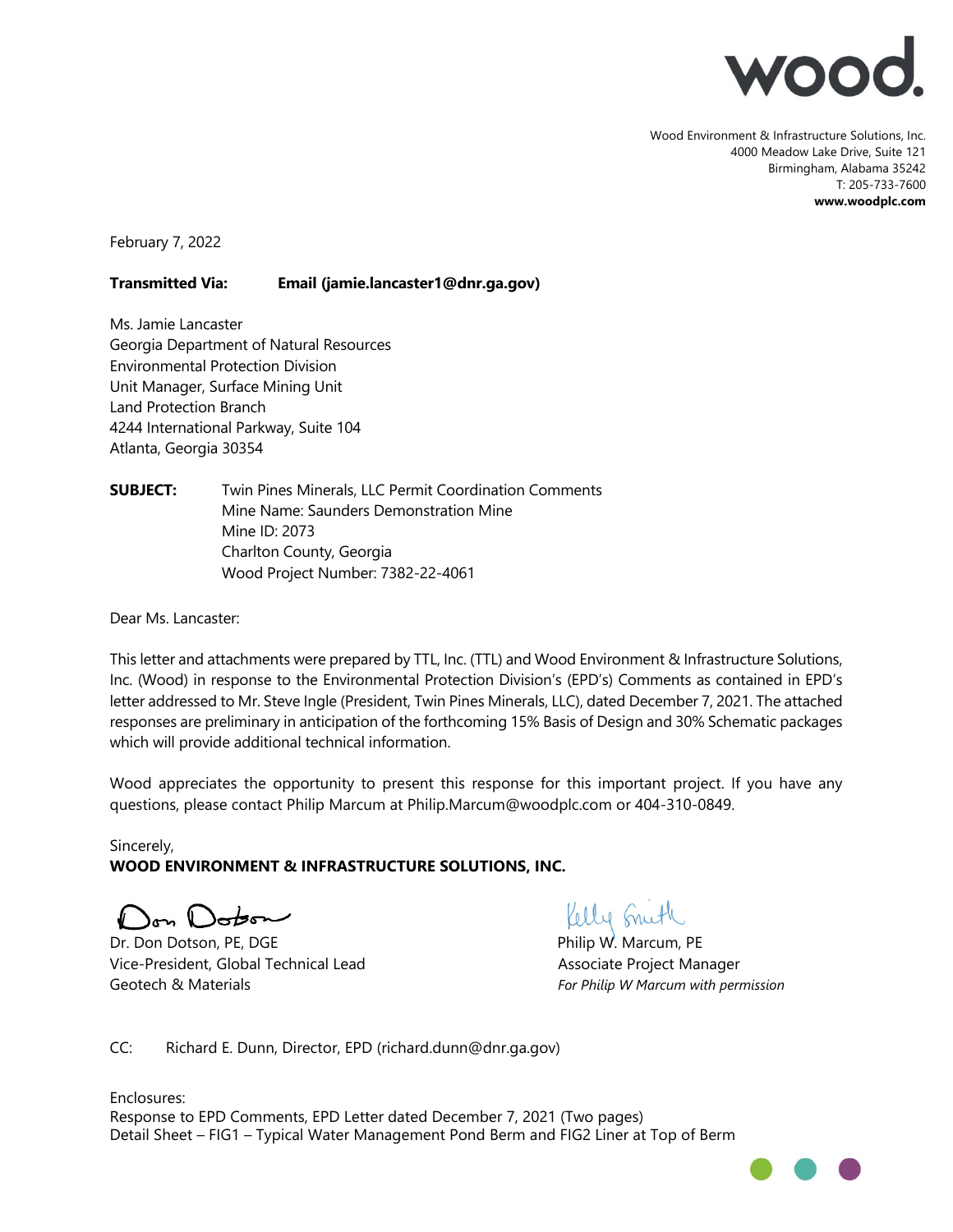

Wood Environment & Infrastructure Solutions, Inc. 4000 Meadow Lake Drive, Suite 121 Birmingham, Alabama 35242 T: 205-733-7600 **www.woodplc.com**

February 7, 2022

**Transmitted Via: Email (jamie.lancaster1@dnr.ga.gov)**

Ms. Jamie Lancaster Georgia Department of Natural Resources Environmental Protection Division Unit Manager, Surface Mining Unit Land Protection Branch 4244 International Parkway, Suite 104 Atlanta, Georgia 30354

**SUBJECT:** Twin Pines Minerals, LLC Permit Coordination Comments Mine Name: Saunders Demonstration Mine Mine ID: 2073 Charlton County, Georgia Wood Project Number: 7382-22-4061

Dear Ms. Lancaster:

This letter and attachments were prepared by TTL, Inc. (TTL) and Wood Environment & Infrastructure Solutions, Inc. (Wood) in response to the Environmental Protection Division's (EPD's) Comments as contained in EPD's letter addressed to Mr. Steve Ingle (President, Twin Pines Minerals, LLC), dated December 7, 2021. The attached responses are preliminary in anticipation of the forthcoming 15% Basis of Design and 30% Schematic packages which will provide additional technical information.

Wood appreciates the opportunity to present this response for this important project. If you have any questions, please contact Philip Marcum at Philip.Marcum@woodplc.com or 404-310-0849.

Sincerely, **WOOD ENVIRONMENT & INFRASTRUCTURE SOLUTIONS, INC.**

Don Doton

Dr. Don Dotson, PE, DGE Philip W. Marcum, PE Vice-President, Global Technical Lead Associate Project Manager Geotech & Materials *For Philip W Marcum with permission*

Kelly Smith

CC: Richard E. Dunn, Director, EPD (richard.dunn@dnr.ga.gov)

Enclosures: Response to EPD Comments, EPD Letter dated December 7, 2021 (Two pages) Detail Sheet – FIG1 – Typical Water Management Pond Berm and FIG2 Liner at Top of Berm

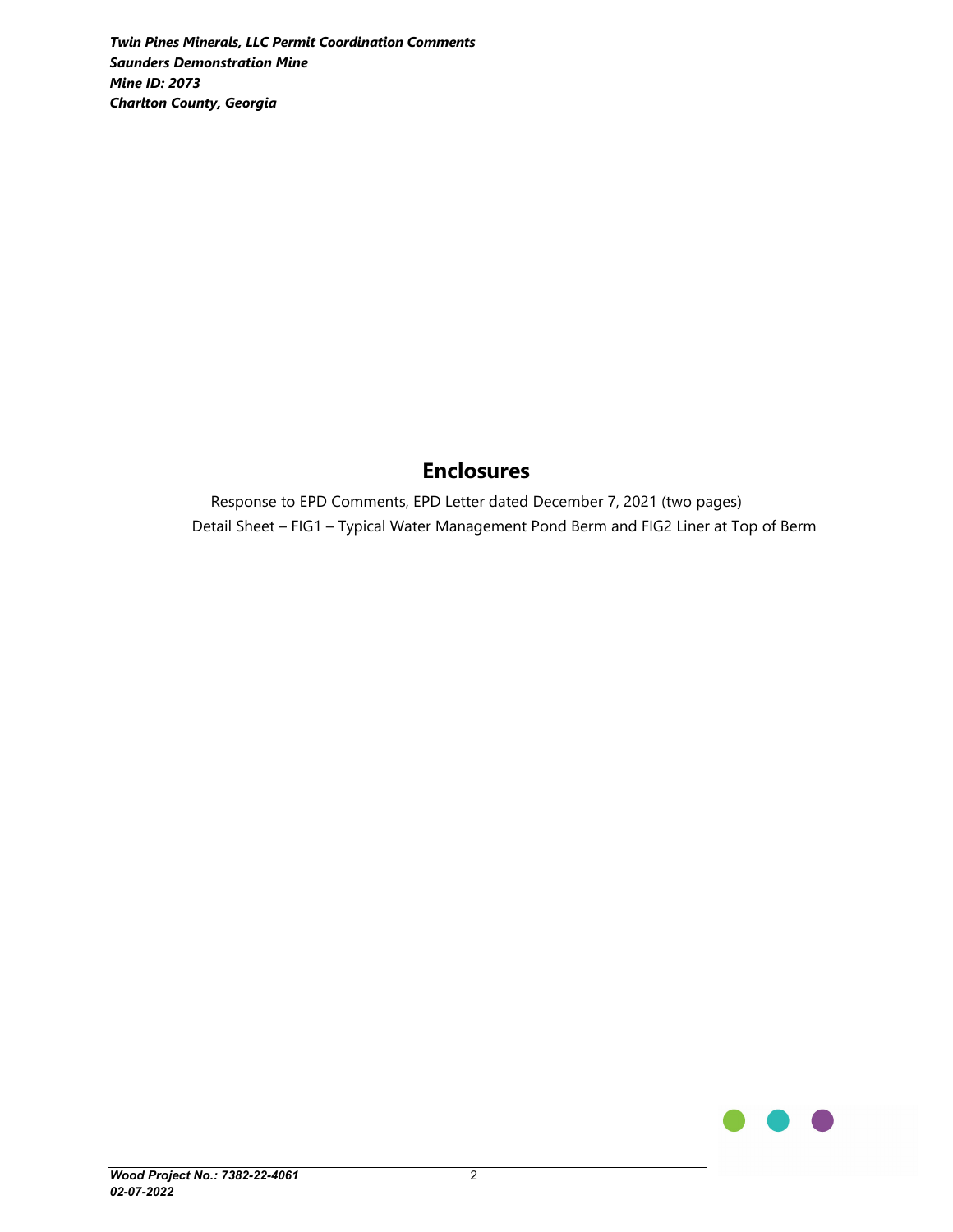*Twin Pines Minerals, LLC Permit Coordination Comments Saunders Demonstration Mine Mine ID: 2073 Charlton County, Georgia* 

## **Enclosures**

Response to EPD Comments, EPD Letter dated December 7, 2021 (two pages) Detail Sheet – FIG1 – Typical Water Management Pond Berm and FIG2 Liner at Top of Berm

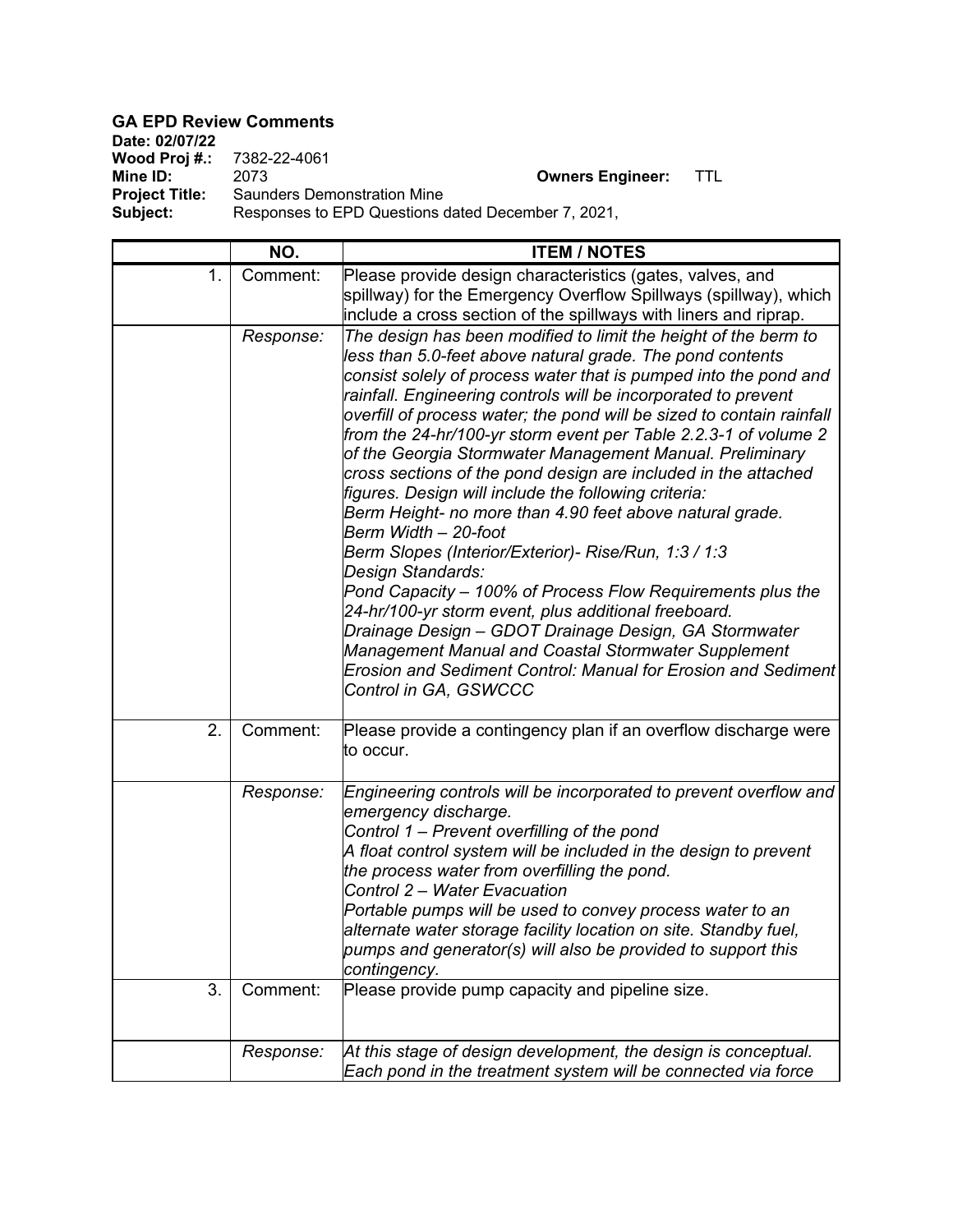## **GA EPD Review Comments**

**Date: 02/07/22 Wood Proj #.: 7382-22-4061<br>Mine ID: 2073 Mine ID:** 2073 2073 **Owners Engineer:** TTL **Project Title:** Saunders Demonstration Mine **Project Title:** Saunders Demonstration Mine<br> **Subject:** Responses to EPD Questions of Responses to EPD Questions dated December 7, 2021,

|    | NO.       | <b>ITEM / NOTES</b>                                                                                                                                                                                                                                                                                                                                                                                                                                                                                                                                                                                                                                                                                                                                                                                                                                                                                                                                                                                                                                                                                    |
|----|-----------|--------------------------------------------------------------------------------------------------------------------------------------------------------------------------------------------------------------------------------------------------------------------------------------------------------------------------------------------------------------------------------------------------------------------------------------------------------------------------------------------------------------------------------------------------------------------------------------------------------------------------------------------------------------------------------------------------------------------------------------------------------------------------------------------------------------------------------------------------------------------------------------------------------------------------------------------------------------------------------------------------------------------------------------------------------------------------------------------------------|
| 1. | Comment:  | Please provide design characteristics (gates, valves, and<br>spillway) for the Emergency Overflow Spillways (spillway), which<br>include a cross section of the spillways with liners and riprap.                                                                                                                                                                                                                                                                                                                                                                                                                                                                                                                                                                                                                                                                                                                                                                                                                                                                                                      |
|    | Response: | The design has been modified to limit the height of the berm to<br>less than 5.0-feet above natural grade. The pond contents<br>consist solely of process water that is pumped into the pond and<br>rainfall. Engineering controls will be incorporated to prevent<br>overfill of process water; the pond will be sized to contain rainfall<br>from the 24-hr/100-yr storm event per Table 2.2.3-1 of volume 2<br>of the Georgia Stormwater Management Manual. Preliminary<br>cross sections of the pond design are included in the attached<br>figures. Design will include the following criteria:<br>Berm Height- no more than 4.90 feet above natural grade.<br>Berm Width - 20-foot<br>Berm Slopes (Interior/Exterior) - Rise/Run, 1:3 / 1:3<br>Design Standards:<br>Pond Capacity - 100% of Process Flow Requirements plus the<br>24-hr/100-yr storm event, plus additional freeboard.<br>Drainage Design - GDOT Drainage Design, GA Stormwater<br>Management Manual and Coastal Stormwater Supplement<br>Erosion and Sediment Control: Manual for Erosion and Sediment<br>Control in GA, GSWCCC |
| 2. | Comment:  | Please provide a contingency plan if an overflow discharge were<br>to occur.                                                                                                                                                                                                                                                                                                                                                                                                                                                                                                                                                                                                                                                                                                                                                                                                                                                                                                                                                                                                                           |
|    | Response: | Engineering controls will be incorporated to prevent overflow and<br>emergency discharge.<br>Control 1 – Prevent overfilling of the pond<br>A float control system will be included in the design to prevent<br>the process water from overfilling the pond.<br>Control 2 - Water Evacuation<br>Portable pumps will be used to convey process water to an<br>alternate water storage facility location on site. Standby fuel,<br>pumps and generator(s) will also be provided to support this<br>contingency.                                                                                                                                                                                                                                                                                                                                                                                                                                                                                                                                                                                          |
| 3. | Comment:  | Please provide pump capacity and pipeline size.                                                                                                                                                                                                                                                                                                                                                                                                                                                                                                                                                                                                                                                                                                                                                                                                                                                                                                                                                                                                                                                        |
|    | Response: | At this stage of design development, the design is conceptual.<br>Each pond in the treatment system will be connected via force                                                                                                                                                                                                                                                                                                                                                                                                                                                                                                                                                                                                                                                                                                                                                                                                                                                                                                                                                                        |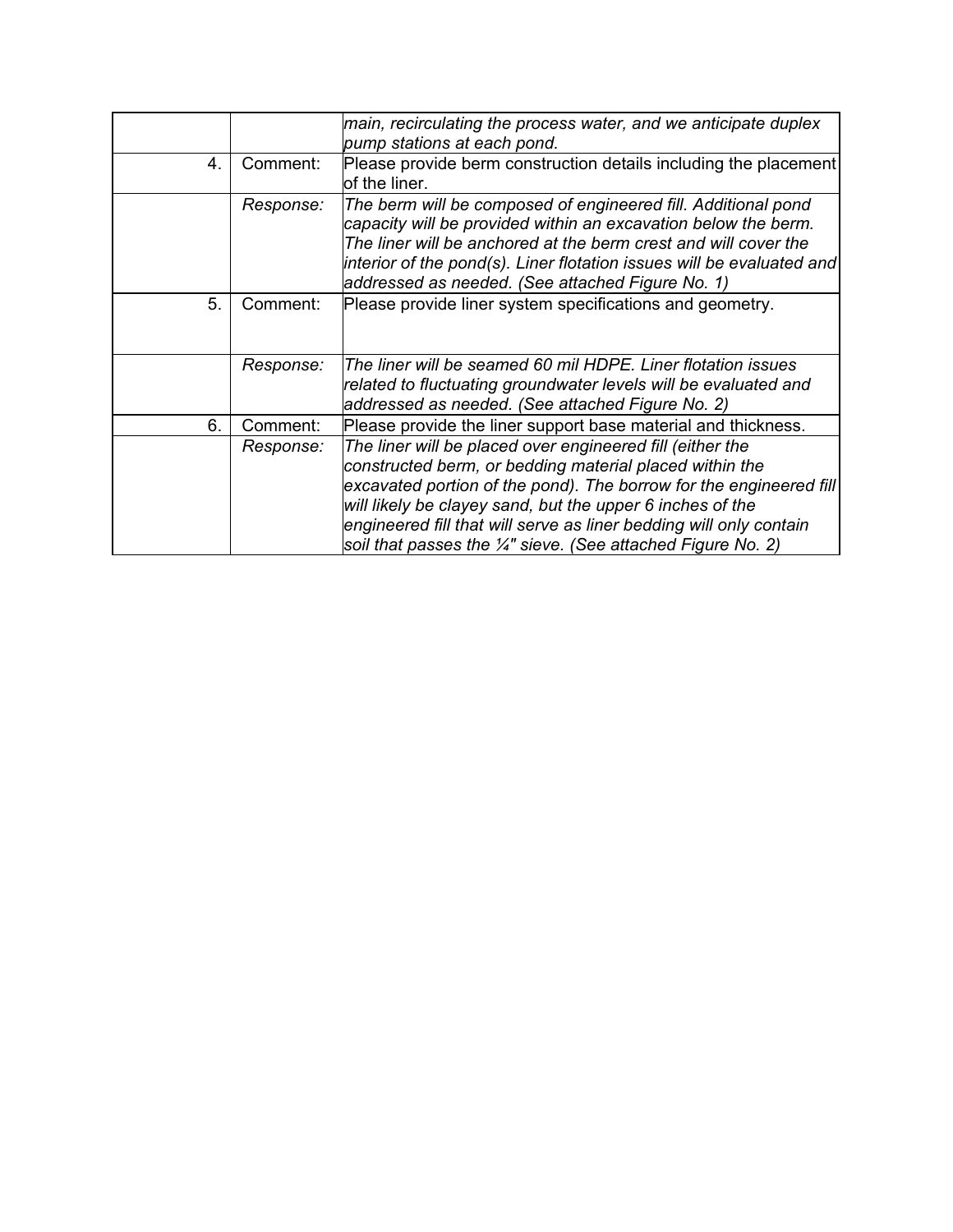|    |           | main, recirculating the process water, and we anticipate duplex<br>pump stations at each pond.                                                                                                                                                                                                                                                                                                |
|----|-----------|-----------------------------------------------------------------------------------------------------------------------------------------------------------------------------------------------------------------------------------------------------------------------------------------------------------------------------------------------------------------------------------------------|
| 4. | Comment:  | Please provide berm construction details including the placement<br>of the liner.                                                                                                                                                                                                                                                                                                             |
|    | Response: | The berm will be composed of engineered fill. Additional pond<br>capacity will be provided within an excavation below the berm.<br>The liner will be anchored at the berm crest and will cover the<br>interior of the pond(s). Liner flotation issues will be evaluated and<br>addressed as needed. (See attached Figure No. 1)                                                               |
| 5. | Comment:  | Please provide liner system specifications and geometry.                                                                                                                                                                                                                                                                                                                                      |
|    | Response: | The liner will be seamed 60 mil HDPE. Liner flotation issues<br>related to fluctuating groundwater levels will be evaluated and<br>addressed as needed. (See attached Figure No. 2)                                                                                                                                                                                                           |
| 6. | Comment:  | Please provide the liner support base material and thickness.                                                                                                                                                                                                                                                                                                                                 |
|    | Response: | The liner will be placed over engineered fill (either the<br>constructed berm, or bedding material placed within the<br>excavated portion of the pond). The borrow for the engineered fill<br>will likely be clayey sand, but the upper 6 inches of the<br>engineered fill that will serve as liner bedding will only contain<br>soil that passes the 1/4" sieve. (See attached Figure No. 2) |